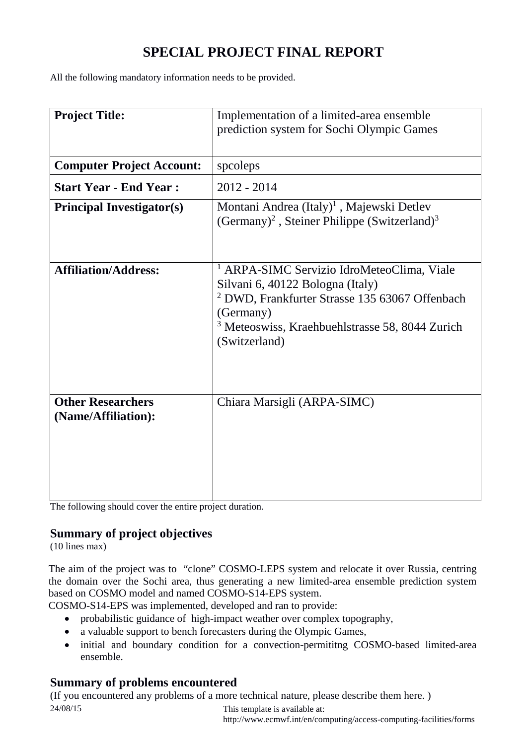# **SPECIAL PROJECT FINAL REPORT**

All the following mandatory information needs to be provided.

| <b>Project Title:</b>                           | Implementation of a limited-area ensemble<br>prediction system for Sochi Olympic Games                                                                                                                                                             |  |  |
|-------------------------------------------------|----------------------------------------------------------------------------------------------------------------------------------------------------------------------------------------------------------------------------------------------------|--|--|
|                                                 |                                                                                                                                                                                                                                                    |  |  |
| <b>Computer Project Account:</b>                | speoleps                                                                                                                                                                                                                                           |  |  |
| <b>Start Year - End Year:</b>                   | $2012 - 2014$                                                                                                                                                                                                                                      |  |  |
| <b>Principal Investigator(s)</b>                | Montani Andrea (Italy) <sup>1</sup> , Majewski Detlev<br>(Germany) <sup>2</sup> , Steiner Philippe (Switzerland) <sup>3</sup>                                                                                                                      |  |  |
| <b>Affiliation/Address:</b>                     | <sup>1</sup> ARPA-SIMC Servizio IdroMeteoClima, Viale<br>Silvani 6, 40122 Bologna (Italy)<br><sup>2</sup> DWD, Frankfurter Strasse 135 63067 Offenbach<br>(Germany)<br><sup>3</sup> Meteoswiss, Kraehbuehlstrasse 58, 8044 Zurich<br>(Switzerland) |  |  |
| <b>Other Researchers</b><br>(Name/Affiliation): | Chiara Marsigli (ARPA-SIMC)                                                                                                                                                                                                                        |  |  |

The following should cover the entire project duration.

## **Summary of project objectives**

(10 lines max)

The aim of the project was to "clone" COSMO-LEPS system and relocate it over Russia, centring the domain over the Sochi area, thus generating a new limited-area ensemble prediction system based on COSMO model and named COSMO-S14-EPS system.

COSMO-S14-EPS was implemented, developed and ran to provide:

- probabilistic guidance of high-impact weather over complex topography,
- a valuable support to bench forecasters during the Olympic Games,
- initial and boundary condition for a convection-permititing COSMO-based limited-area ensemble.

## **Summary of problems encountered**

24/08/15 This template is available at: (If you encountered any problems of a more technical nature, please describe them here. )

http://www.ecmwf.int/en/computing/access-computing-facilities/forms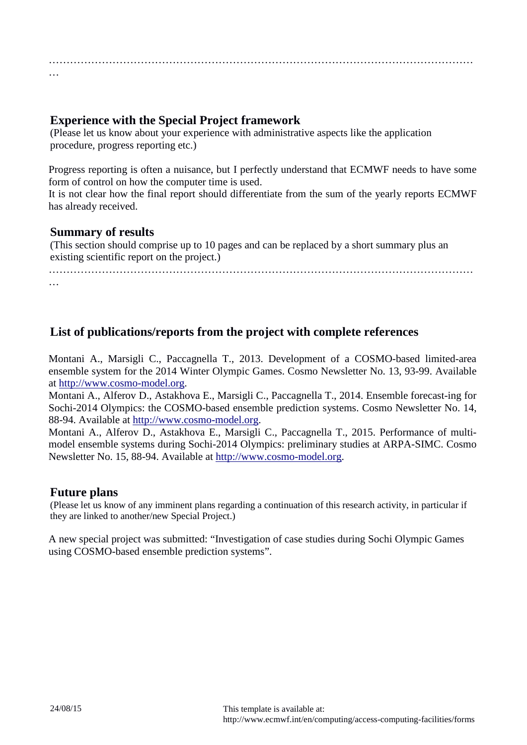………………………………………………………………………………………………………… …

## **Experience with the Special Project framework**

(Please let us know about your experience with administrative aspects like the application procedure, progress reporting etc.)

Progress reporting is often a nuisance, but I perfectly understand that ECMWF needs to have some form of control on how the computer time is used.

It is not clear how the final report should differentiate from the sum of the yearly reports ECMWF has already received.

### **Summary of results**

(This section should comprise up to 10 pages and can be replaced by a short summary plus an existing scientific report on the project.)

…………………………………………………………………………………………………………

…

## **List of publications/reports from the project with complete references**

Montani A., Marsigli C., Paccagnella T., 2013. Development of a COSMO-based limited-area ensemble system for the 2014 Winter Olympic Games. Cosmo Newsletter No. 13, 93-99. Available at [http://www.cosmo-model.org.](http://www.cosmo-model.org/)

Montani A., Alferov D., Astakhova E., Marsigli C., Paccagnella T., 2014. Ensemble forecast-ing for Sochi-2014 Olympics: the COSMO-based ensemble prediction systems. Cosmo Newsletter No. 14, 88-94. Available at [http://www.cosmo-model.org.](http://www.cosmo-model.org/)

Montani A., Alferov D., Astakhova E., Marsigli C., Paccagnella T., 2015. Performance of multimodel ensemble systems during Sochi-2014 Olympics: preliminary studies at ARPA-SIMC. Cosmo Newsletter No. 15, 88-94. Available at [http://www.cosmo-model.org.](http://www.cosmo-model.org/)

## **Future plans**

(Please let us know of any imminent plans regarding a continuation of this research activity, in particular if they are linked to another/new Special Project.)

A new special project was submitted: "Investigation of case studies during Sochi Olympic Games using COSMO-based ensemble prediction systems".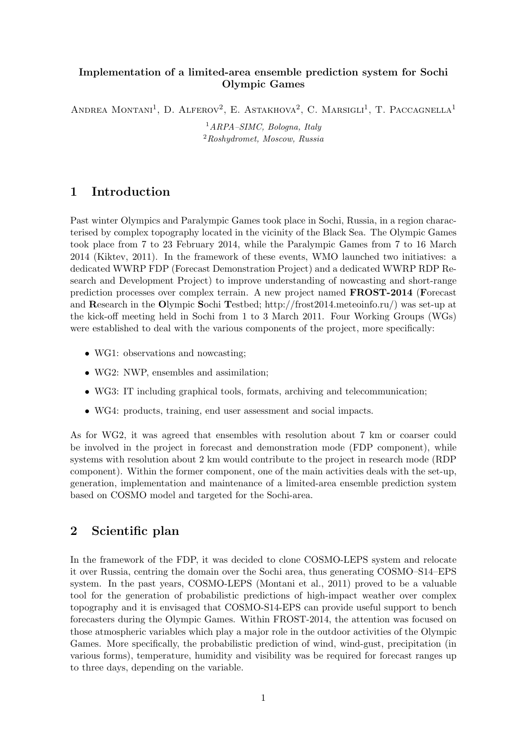#### Implementation of a limited-area ensemble prediction system for Sochi Olympic Games

ANDREA MONTANI<sup>1</sup>, D. ALFEROV<sup>2</sup>, E. ASTAKHOVA<sup>2</sup>, C. MARSIGLI<sup>1</sup>, T. PACCAGNELLA<sup>1</sup>

 ${}^{1}ARPA-SIMC$ , Bologna, Italy  $2Roshy$ dromet, Moscow, Russia

### 1 Introduction

Past winter Olympics and Paralympic Games took place in Sochi, Russia, in a region characterised by complex topography located in the vicinity of the Black Sea. The Olympic Games took place from 7 to 23 February 2014, while the Paralympic Games from 7 to 16 March 2014 (Kiktev, 2011). In the framework of these events, WMO launched two initiatives: a dedicated WWRP FDP (Forecast Demonstration Project) and a dedicated WWRP RDP Research and Development Project) to improve understanding of nowcasting and short-range prediction processes over complex terrain. A new project named FROST-2014 (Forecast and Research in the Olympic Sochi Testbed; http://frost2014.meteoinfo.ru/) was set-up at the kick-off meeting held in Sochi from 1 to 3 March 2011. Four Working Groups (WGs) were established to deal with the various components of the project, more specifically:

- WG1: observations and nowcasting;
- WG2: NWP, ensembles and assimilation;
- WG3: IT including graphical tools, formats, archiving and telecommunication;
- WG4: products, training, end user assessment and social impacts.

As for WG2, it was agreed that ensembles with resolution about 7 km or coarser could be involved in the project in forecast and demonstration mode (FDP component), while systems with resolution about 2 km would contribute to the project in research mode (RDP component). Within the former component, one of the main activities deals with the set-up, generation, implementation and maintenance of a limited-area ensemble prediction system based on COSMO model and targeted for the Sochi-area.

### 2 Scientific plan

In the framework of the FDP, it was decided to clone COSMO-LEPS system and relocate it over Russia, centring the domain over the Sochi area, thus generating COSMO–S14–EPS system. In the past years, COSMO-LEPS (Montani et al., 2011) proved to be a valuable tool for the generation of probabilistic predictions of high-impact weather over complex topography and it is envisaged that COSMO-S14-EPS can provide useful support to bench forecasters during the Olympic Games. Within FROST-2014, the attention was focused on those atmospheric variables which play a major role in the outdoor activities of the Olympic Games. More specifically, the probabilistic prediction of wind, wind-gust, precipitation (in various forms), temperature, humidity and visibility was be required for forecast ranges up to three days, depending on the variable.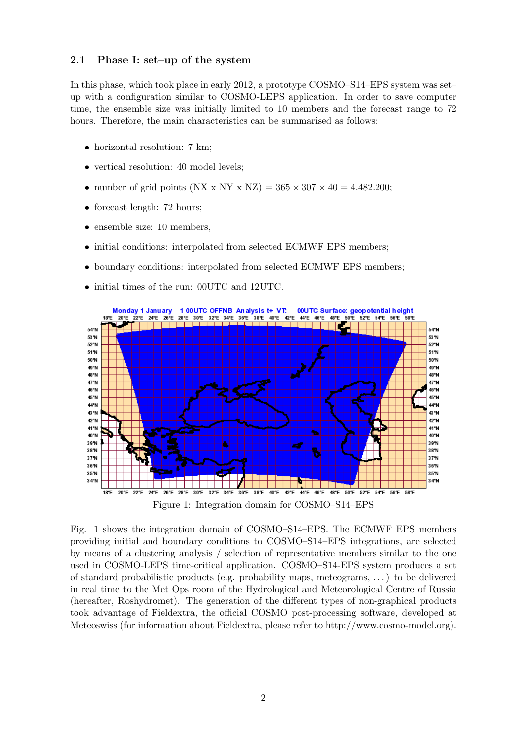#### 2.1 Phase I: set–up of the system

In this phase, which took place in early 2012, a prototype COSMO–S14–EPS system was set– up with a configuration similar to COSMO-LEPS application. In order to save computer time, the ensemble size was initially limited to 10 members and the forecast range to 72 hours. Therefore, the main characteristics can be summarised as follows:

- horizontal resolution: 7 km;
- vertical resolution: 40 model levels;
- number of grid points (NX x NY x NZ) =  $365 \times 307 \times 40 = 4.482.200$ ;
- forecast length: 72 hours;
- ensemble size: 10 members,
- initial conditions: interpolated from selected ECMWF EPS members;
- boundary conditions: interpolated from selected ECMWF EPS members;
- initial times of the run: 00UTC and 12UTC.



Figure 1: Integration domain for COSMO–S14–EPS

Fig. 1 shows the integration domain of COSMO–S14–EPS. The ECMWF EPS members providing initial and boundary conditions to COSMO–S14–EPS integrations, are selected by means of a clustering analysis / selection of representative members similar to the one used in COSMO-LEPS time-critical application. COSMO–S14-EPS system produces a set of standard probabilistic products (e.g. probability maps, meteograms, . . . ) to be delivered in real time to the Met Ops room of the Hydrological and Meteorological Centre of Russia (hereafter, Roshydromet). The generation of the different types of non-graphical products took advantage of Fieldextra, the official COSMO post-processing software, developed at Meteoswiss (for information about Fieldextra, please refer to http://www.cosmo-model.org).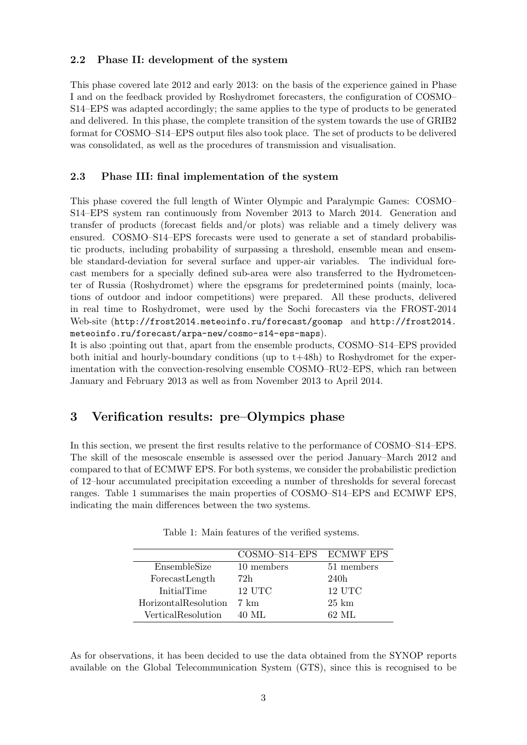#### 2.2 Phase II: development of the system

This phase covered late 2012 and early 2013: on the basis of the experience gained in Phase I and on the feedback provided by Roshydromet forecasters, the configuration of COSMO– S14–EPS was adapted accordingly; the same applies to the type of products to be generated and delivered. In this phase, the complete transition of the system towards the use of GRIB2 format for COSMO–S14–EPS output files also took place. The set of products to be delivered was consolidated, as well as the procedures of transmission and visualisation.

#### 2.3 Phase III: final implementation of the system

This phase covered the full length of Winter Olympic and Paralympic Games: COSMO– S14–EPS system ran continuously from November 2013 to March 2014. Generation and transfer of products (forecast fields and/or plots) was reliable and a timely delivery was ensured. COSMO–S14–EPS forecasts were used to generate a set of standard probabilistic products, including probability of surpassing a threshold, ensemble mean and ensemble standard-deviation for several surface and upper-air variables. The individual forecast members for a specially defined sub-area were also transferred to the Hydrometcenter of Russia (Roshydromet) where the epsgrams for predetermined points (mainly, locations of outdoor and indoor competitions) were prepared. All these products, delivered in real time to Roshydromet, were used by the Sochi forecasters via the FROST-2014 Web-site (http://frost2014.meteoinfo.ru/forecast/goomap and http://frost2014. meteoinfo.ru/forecast/arpa-new/cosmo-s14-eps-maps).

It is also ;pointing out that, apart from the ensemble products, COSMO–S14–EPS provided both initial and hourly-boundary conditions (up to t+48h) to Roshydromet for the experimentation with the convection-resolving ensemble COSMO–RU2–EPS, which ran between January and February 2013 as well as from November 2013 to April 2014.

### 3 Verification results: pre–Olympics phase

In this section, we present the first results relative to the performance of COSMO–S14–EPS. The skill of the mesoscale ensemble is assessed over the period January–March 2012 and compared to that of ECMWF EPS. For both systems, we consider the probabilistic prediction of 12–hour accumulated precipitation exceeding a number of thresholds for several forecast ranges. Table 1 summarises the main properties of COSMO–S14–EPS and ECMWF EPS, indicating the main differences between the two systems.

|                      | COSMO-S14-EPS ECMWF EPS |                 |
|----------------------|-------------------------|-----------------|
| EnsembleSize         | 10 members              | 51 members      |
| ForecastLength       | 72h                     | 240h            |
| InitialTime          | 12 UTC                  | 12 UTC          |
| HorizontalResolution | - 7 km                  | $25 \;{\rm km}$ |
| VerticalResolution   | 40 ML                   | 62. ML          |

Table 1: Main features of the verified systems.

As for observations, it has been decided to use the data obtained from the SYNOP reports available on the Global Telecommunication System (GTS), since this is recognised to be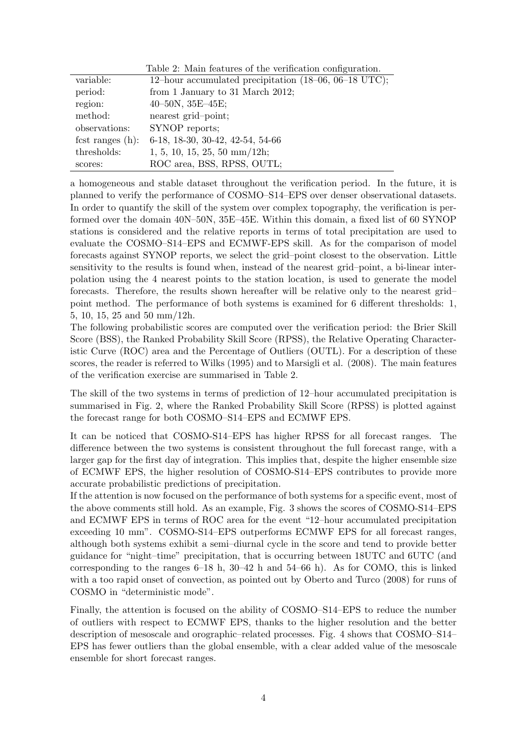|                     | Table 2: Main features of the verification configuration. |
|---------------------|-----------------------------------------------------------|
| variable:           | 12-hour accumulated precipitation (18-06, 06-18 UTC);     |
| period:             | from 1 January to 31 March 2012;                          |
| region:             | $40-50N$ , $35E-45E$ ;                                    |
| method:             | nearest grid-point;                                       |
| observations:       | SYNOP reports;                                            |
| fest ranges $(h)$ : | 6-18, 18-30, 30-42, 42-54, 54-66                          |
| thresholds:         | $1, 5, 10, 15, 25, 50 \text{ mm}/12h$ ;                   |
| scores:             | ROC area, BSS, RPSS, OUTL;                                |

a homogeneous and stable dataset throughout the verification period. In the future, it is planned to verify the performance of COSMO–S14–EPS over denser observational datasets. In order to quantify the skill of the system over complex topography, the verification is performed over the domain 40N–50N, 35E–45E. Within this domain, a fixed list of 60 SYNOP stations is considered and the relative reports in terms of total precipitation are used to evaluate the COSMO–S14–EPS and ECMWF-EPS skill. As for the comparison of model forecasts against SYNOP reports, we select the grid–point closest to the observation. Little sensitivity to the results is found when, instead of the nearest grid–point, a bi-linear interpolation using the 4 nearest points to the station location, is used to generate the model forecasts. Therefore, the results shown hereafter will be relative only to the nearest grid– point method. The performance of both systems is examined for 6 different thresholds: 1, 5, 10, 15, 25 and 50 mm/12h.

The following probabilistic scores are computed over the verification period: the Brier Skill Score (BSS), the Ranked Probability Skill Score (RPSS), the Relative Operating Characteristic Curve (ROC) area and the Percentage of Outliers (OUTL). For a description of these scores, the reader is referred to Wilks (1995) and to Marsigli et al. (2008). The main features of the verification exercise are summarised in Table 2.

The skill of the two systems in terms of prediction of 12–hour accumulated precipitation is summarised in Fig. 2, where the Ranked Probability Skill Score (RPSS) is plotted against the forecast range for both COSMO–S14–EPS and ECMWF EPS.

It can be noticed that COSMO-S14–EPS has higher RPSS for all forecast ranges. The difference between the two systems is consistent throughout the full forecast range, with a larger gap for the first day of integration. This implies that, despite the higher ensemble size of ECMWF EPS, the higher resolution of COSMO-S14–EPS contributes to provide more accurate probabilistic predictions of precipitation.

If the attention is now focused on the performance of both systems for a specific event, most of the above comments still hold. As an example, Fig. 3 shows the scores of COSMO-S14–EPS and ECMWF EPS in terms of ROC area for the event "12–hour accumulated precipitation exceeding 10 mm". COSMO-S14–EPS outperforms ECMWF EPS for all forecast ranges, although both systems exhibit a semi–diurnal cycle in the score and tend to provide better guidance for "night–time" precipitation, that is occurring between 18UTC and 6UTC (and corresponding to the ranges  $6-18$  h,  $30-42$  h and  $54-66$  h). As for COMO, this is linked with a too rapid onset of convection, as pointed out by Oberto and Turco (2008) for runs of COSMO in "deterministic mode".

Finally, the attention is focused on the ability of COSMO–S14–EPS to reduce the number of outliers with respect to ECMWF EPS, thanks to the higher resolution and the better description of mesoscale and orographic–related processes. Fig. 4 shows that COSMO–S14– EPS has fewer outliers than the global ensemble, with a clear added value of the mesoscale ensemble for short forecast ranges.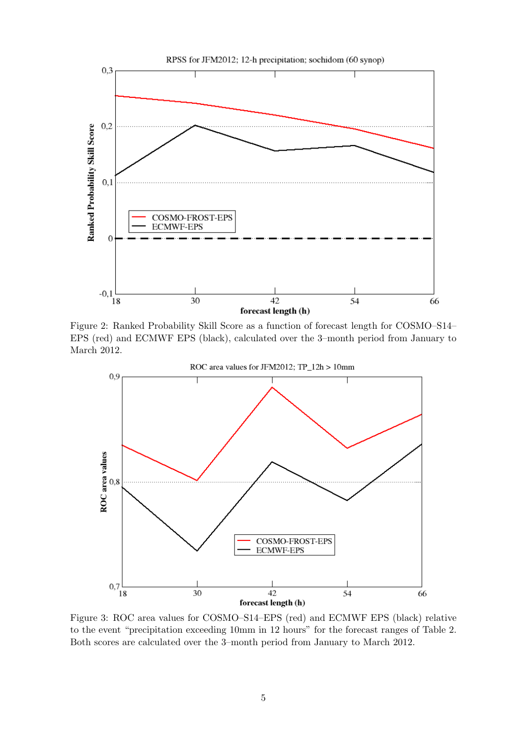

Figure 2: Ranked Probability Skill Score as a function of forecast length for COSMO–S14– EPS (red) and ECMWF EPS (black), calculated over the 3–month period from January to March 2012.



Figure 3: ROC area values for COSMO–S14–EPS (red) and ECMWF EPS (black) relative to the event "precipitation exceeding 10mm in 12 hours" for the forecast ranges of Table 2. Both scores are calculated over the 3–month period from January to March 2012.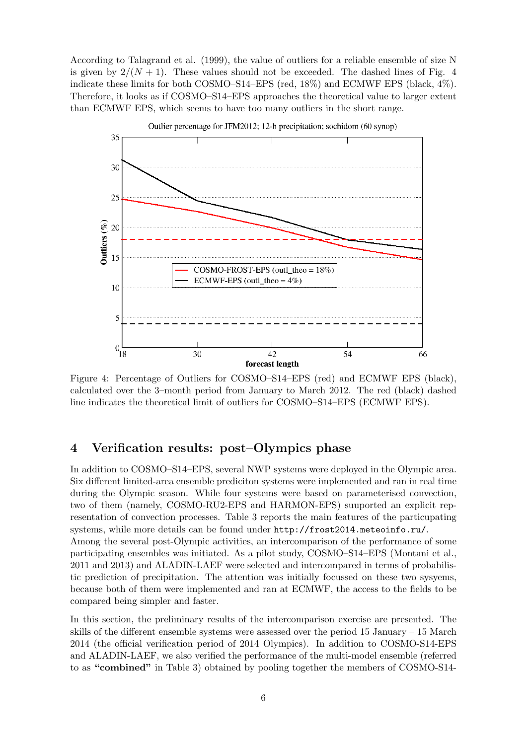According to Talagrand et al. (1999), the value of outliers for a reliable ensemble of size N is given by  $2/(N+1)$ . These values should not be exceeded. The dashed lines of Fig. 4 indicate these limits for both COSMO–S14–EPS (red, 18%) and ECMWF EPS (black, 4%). Therefore, it looks as if COSMO–S14–EPS approaches the theoretical value to larger extent than ECMWF EPS, which seems to have too many outliers in the short range.



Outlier percentage for JFM2012; 12-h precipitation; sochidom (60 synop)

Figure 4: Percentage of Outliers for COSMO–S14–EPS (red) and ECMWF EPS (black), calculated over the 3–month period from January to March 2012. The red (black) dashed line indicates the theoretical limit of outliers for COSMO–S14–EPS (ECMWF EPS).

### 4 Verification results: post–Olympics phase

In addition to COSMO–S14–EPS, several NWP systems were deployed in the Olympic area. Six different limited-area ensemble prediciton systems were implemented and ran in real time during the Olympic season. While four systems were based on parameterised convection, two of them (namely, COSMO-RU2-EPS and HARMON-EPS) suuported an explicit representation of convection processes. Table 3 reports the main features of the particupating systems, while more details can be found under http://frost2014.meteoinfo.ru/. Among the several post-Olympic activities, an intercomparison of the performance of some participating ensembles was initiated. As a pilot study, COSMO–S14–EPS (Montani et al., 2011 and 2013) and ALADIN-LAEF were selected and intercompared in terms of probabilistic prediction of precipitation. The attention was initially focussed on these two sysyems, because both of them were implemented and ran at ECMWF, the access to the fields to be compared being simpler and faster.

In this section, the preliminary results of the intercomparison exercise are presented. The skills of the different ensemble systems were assessed over the period 15 January – 15 March 2014 (the official verification period of 2014 Olympics). In addition to COSMO-S14-EPS and ALADIN-LAEF, we also verified the performance of the multi-model ensemble (referred to as "combined" in Table 3) obtained by pooling together the members of COSMO-S14-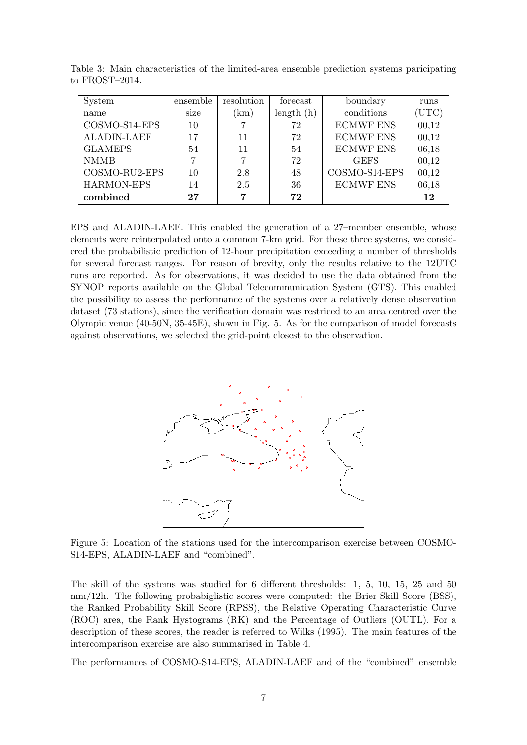| System             | ensemble | resolution | forecast  | boundary         | runs  |
|--------------------|----------|------------|-----------|------------------|-------|
| name               | size     | (km)       | length(h) | conditions       | ΊUΤC) |
| COSMO-S14-EPS      | 10       |            | 72        | <b>ECMWF ENS</b> | 00,12 |
| <b>ALADIN-LAEF</b> | 17       | 11         | 72        | <b>ECMWF ENS</b> | 00,12 |
| <b>GLAMEPS</b>     | 54       | 11         | 54        | <b>ECMWF ENS</b> | 06,18 |
| <b>NMMB</b>        | 7        |            | 72        | <b>GEFS</b>      | 00,12 |
| COSMO-RU2-EPS      | 10       | 2.8        | 48        | COSMO-S14-EPS    | 00,12 |
| HARMON-EPS         | 14       | 2.5        | 36        | <b>ECMWF ENS</b> | 06,18 |
| combined           | 27       | 7          | 72        |                  | 12    |

Table 3: Main characteristics of the limited-area ensemble prediction systems paricipating to FROST–2014.

EPS and ALADIN-LAEF. This enabled the generation of a 27–member ensemble, whose elements were reinterpolated onto a common 7-km grid. For these three systems, we considered the probabilistic prediction of 12-hour precipitation exceeding a number of thresholds for several forecast ranges. For reason of brevity, only the results relative to the 12UTC runs are reported. As for observations, it was decided to use the data obtained from the SYNOP reports available on the Global Telecommunication System (GTS). This enabled the possibility to assess the performance of the systems over a relatively dense observation dataset (73 stations), since the verification domain was restriced to an area centred over the Olympic venue (40-50N, 35-45E), shown in Fig. 5. As for the comparison of model forecasts against observations, we selected the grid-point closest to the observation.



Figure 5: Location of the stations used for the intercomparison exercise between COSMO-S14-EPS, ALADIN-LAEF and "combined".

The skill of the systems was studied for 6 different thresholds: 1, 5, 10, 15, 25 and 50 mm/12h. The following probabiglistic scores were computed: the Brier Skill Score (BSS), the Ranked Probability Skill Score (RPSS), the Relative Operating Characteristic Curve (ROC) area, the Rank Hystograms (RK) and the Percentage of Outliers (OUTL). For a description of these scores, the reader is referred to Wilks (1995). The main features of the intercomparison exercise are also summarised in Table 4.

The performances of COSMO-S14-EPS, ALADIN-LAEF and of the "combined" ensemble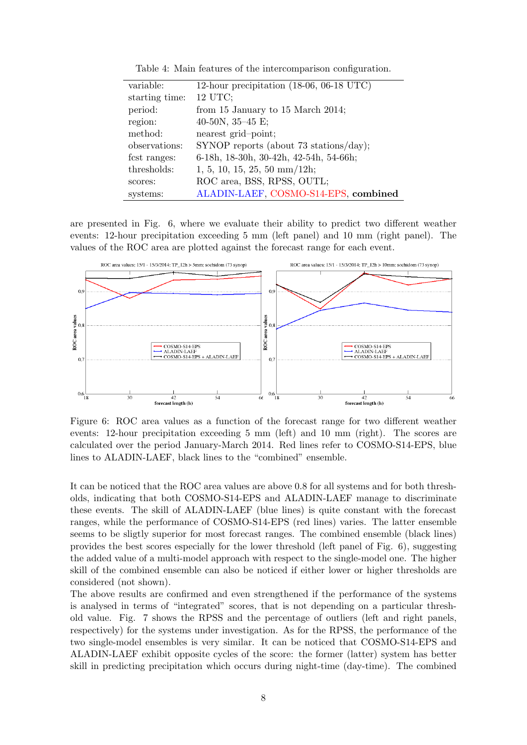| variable:      | 12-hour precipitation $(18-06, 06-18 \text{ UTC})$ |
|----------------|----------------------------------------------------|
| starting time: | 12 UTC;                                            |
| period:        | from 15 January to 15 March 2014;                  |
| region:        | 40-50N, $35-45$ E;                                 |
| method:        | nearest grid-point;                                |
| observations:  | $SYNOP$ reports (about 73 stations/day);           |
| fest ranges:   | 6-18h, 18-30h, 30-42h, 42-54h, 54-66h;             |
| thresholds:    | $1, 5, 10, 15, 25, 50 \text{ mm}/12h$ ;            |
| scores:        | ROC area, BSS, RPSS, OUTL;                         |
| systems:       | ALADIN-LAEF, COSMO-S14-EPS, combined               |

Table 4: Main features of the intercomparison configuration.

are presented in Fig. 6, where we evaluate their ability to predict two different weather events: 12-hour precipitation exceeding 5 mm (left panel) and 10 mm (right panel). The values of the ROC area are plotted against the forecast range for each event.



Figure 6: ROC area values as a function of the forecast range for two different weather events: 12-hour precipitation exceeding 5 mm (left) and 10 mm (right). The scores are calculated over the period January-March 2014. Red lines refer to COSMO-S14-EPS, blue lines to ALADIN-LAEF, black lines to the "combined" ensemble.

It can be noticed that the ROC area values are above 0.8 for all systems and for both thresholds, indicating that both COSMO-S14-EPS and ALADIN-LAEF manage to discriminate these events. The skill of ALADIN-LAEF (blue lines) is quite constant with the forecast ranges, while the performance of COSMO-S14-EPS (red lines) varies. The latter ensemble seems to be sligtly superior for most forecast ranges. The combined ensemble (black lines) provides the best scores especially for the lower threshold (left panel of Fig. 6), suggesting the added value of a multi-model approach with respect to the single-model one. The higher skill of the combined ensemble can also be noticed if either lower or higher thresholds are considered (not shown).

The above results are confirmed and even strengthened if the performance of the systems is analysed in terms of "integrated" scores, that is not depending on a particular threshold value. Fig. 7 shows the RPSS and the percentage of outliers (left and right panels, respectively) for the systems under investigation. As for the RPSS, the performance of the two single-model ensembles is very similar. It can be noticed that COSMO-S14-EPS and ALADIN-LAEF exhibit opposite cycles of the score: the former (latter) system has better skill in predicting precipitation which occurs during night-time (day-time). The combined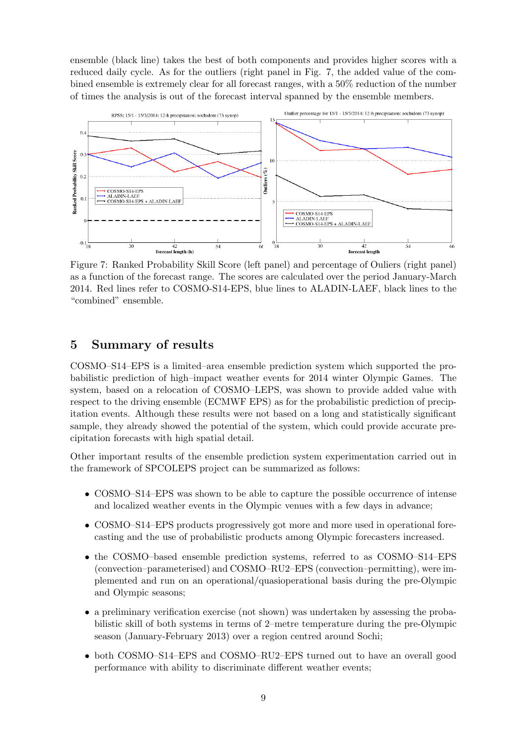ensemble (black line) takes the best of both components and provides higher scores with a reduced daily cycle. As for the outliers (right panel in Fig. 7, the added value of the combined ensemble is extremely clear for all forecast ranges, with a 50% reduction of the number of times the analysis is out of the forecast interval spanned by the ensemble members.



Figure 7: Ranked Probability Skill Score (left panel) and percentage of Ouliers (right panel) as a function of the forecast range. The scores are calculated over the period January-March 2014. Red lines refer to COSMO-S14-EPS, blue lines to ALADIN-LAEF, black lines to the "combined" ensemble.

### 5 Summary of results

COSMO–S14–EPS is a limited–area ensemble prediction system which supported the probabilistic prediction of high–impact weather events for 2014 winter Olympic Games. The system, based on a relocation of COSMO–LEPS, was shown to provide added value with respect to the driving ensemble (ECMWF EPS) as for the probabilistic prediction of precipitation events. Although these results were not based on a long and statistically significant sample, they already showed the potential of the system, which could provide accurate precipitation forecasts with high spatial detail.

Other important results of the ensemble prediction system experimentation carried out in the framework of SPCOLEPS project can be summarized as follows:

- COSMO–S14–EPS was shown to be able to capture the possible occurrence of intense and localized weather events in the Olympic venues with a few days in advance;
- COSMO–S14–EPS products progressively got more and more used in operational forecasting and the use of probabilistic products among Olympic forecasters increased.
- the COSMO–based ensemble prediction systems, referred to as COSMO–S14–EPS (convection–parameterised) and COSMO–RU2–EPS (convection–permitting), were implemented and run on an operational/quasioperational basis during the pre-Olympic and Olympic seasons;
- a preliminary verification exercise (not shown) was undertaken by assessing the probabilistic skill of both systems in terms of 2–metre temperature during the pre-Olympic season (January-February 2013) over a region centred around Sochi;
- both COSMO–S14–EPS and COSMO–RU2–EPS turned out to have an overall good performance with ability to discriminate different weather events;